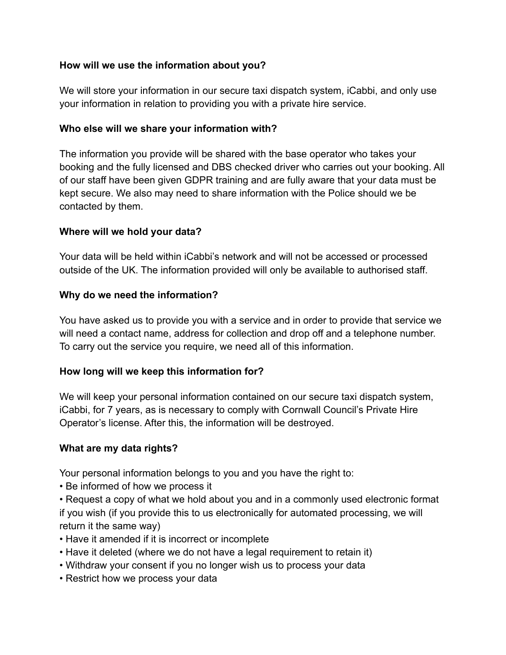# **How will we use the information about you?**

We will store your information in our secure taxi dispatch system, iCabbi, and only use your information in relation to providing you with a private hire service.

## **Who else will we share your information with?**

The information you provide will be shared with the base operator who takes your booking and the fully licensed and DBS checked driver who carries out your booking. All of our staff have been given GDPR training and are fully aware that your data must be kept secure. We also may need to share information with the Police should we be contacted by them.

## **Where will we hold your data?**

Your data will be held within iCabbi's network and will not be accessed or processed outside of the UK. The information provided will only be available to authorised staff.

## **Why do we need the information?**

You have asked us to provide you with a service and in order to provide that service we will need a contact name, address for collection and drop off and a telephone number. To carry out the service you require, we need all of this information.

# **How long will we keep this information for?**

We will keep your personal information contained on our secure taxi dispatch system, iCabbi, for 7 years, as is necessary to comply with Cornwall Council's Private Hire Operator's license. After this, the information will be destroyed.

#### **What are my data rights?**

Your personal information belongs to you and you have the right to:

• Be informed of how we process it

• Request a copy of what we hold about you and in a commonly used electronic format if you wish (if you provide this to us electronically for automated processing, we will return it the same way)

- Have it amended if it is incorrect or incomplete
- Have it deleted (where we do not have a legal requirement to retain it)
- Withdraw your consent if you no longer wish us to process your data
- Restrict how we process your data